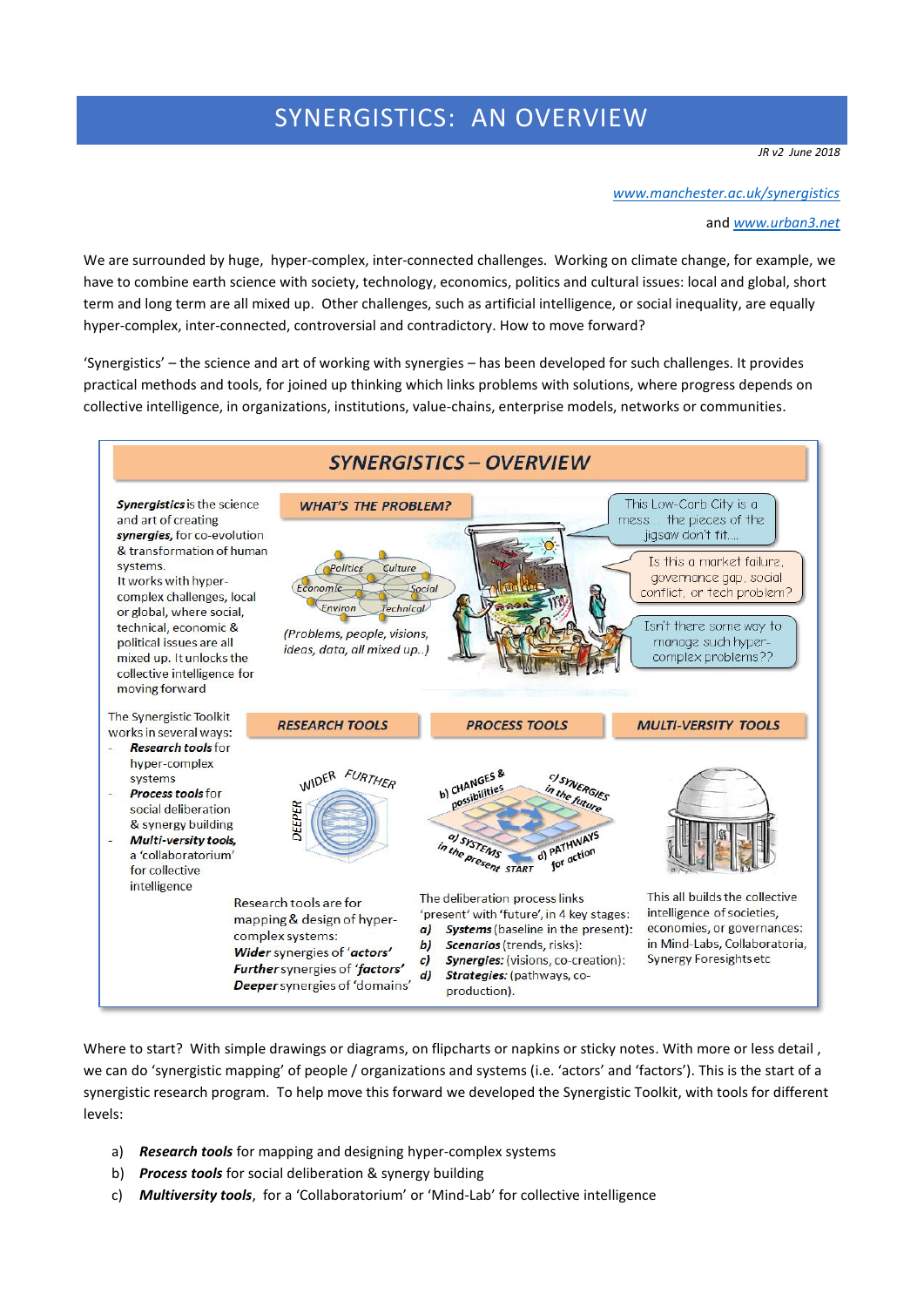# SYNERGISTICS: AN OVERVIEW

*JR v2 June 2018*

*[www.manchester.ac.uk/synergistics](http://www.manchester.ac.uk/synergistics)*

and *[www.urban3.net](http://www.urban3.net/)*

We are surrounded by huge, hyper-complex, inter-connected challenges. Working on climate change, for example, we have to combine earth science with society, technology, economics, politics and cultural issues: local and global, short term and long term are all mixed up. Other challenges, such as artificial intelligence, or social inequality, are equally hyper-complex, inter-connected, controversial and contradictory. How to move forward?

'Synergistics' – the science and art of working with synergies – has been developed for such challenges. It provides practical methods and tools, for joined up thinking which links problems with solutions, where progress depends on collective intelligence, in organizations, institutions, value-chains, enterprise models, networks or communities.



Where to start? With simple drawings or diagrams, on flipcharts or napkins or sticky notes. With more or less detail, we can do 'synergistic mapping' of people / organizations and systems (i.e. 'actors' and 'factors'). This is the start of a synergistic research program. To help move this forward we developed the Synergistic Toolkit, with tools for different levels:

- a) *Research tools* for mapping and designing hyper-complex systems
- b) *Process tools* for social deliberation & synergy building
- c) *Multiversity tools*, for a 'Collaboratorium' or 'Mind-Lab' for collective intelligence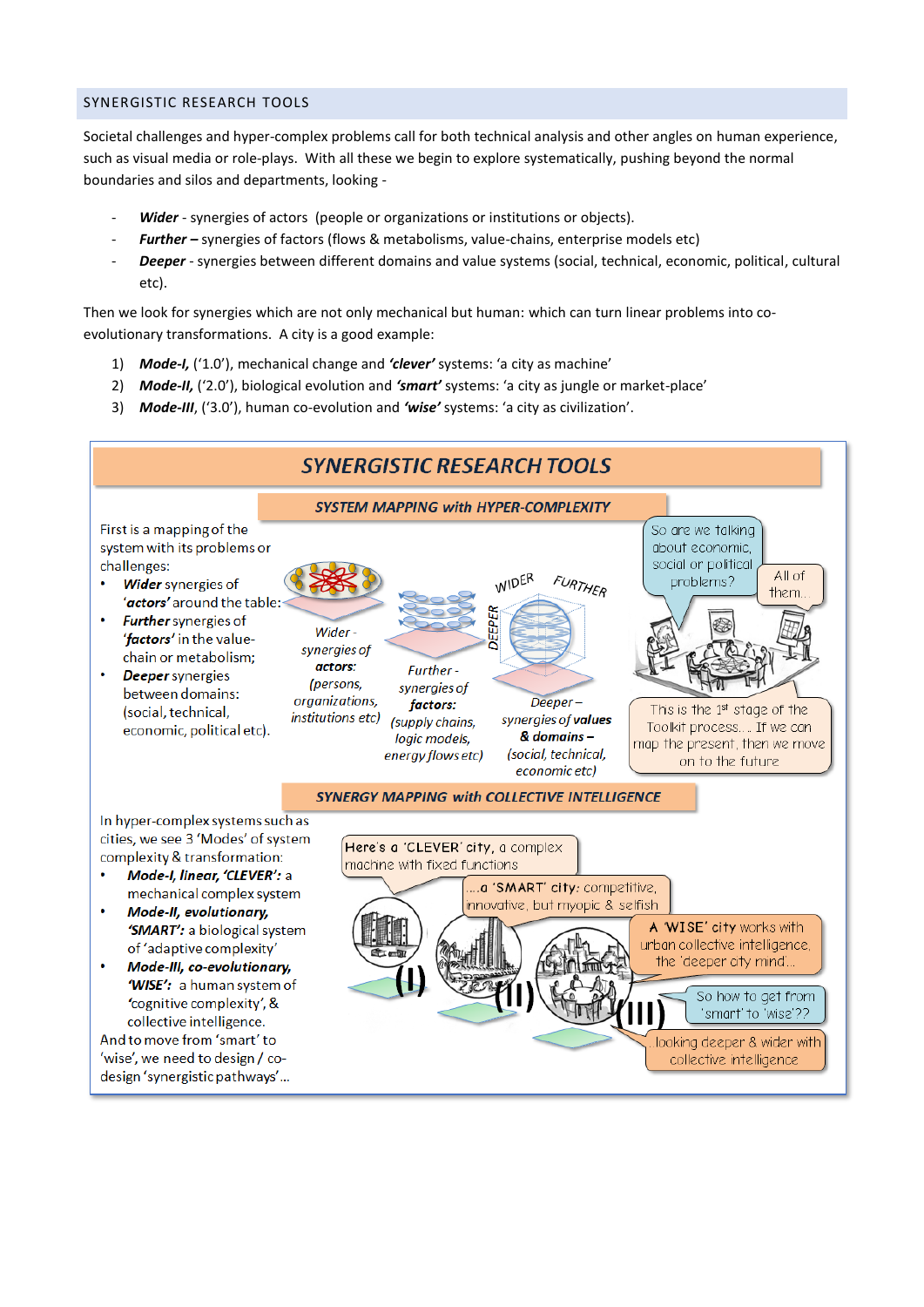## SYNERGISTIC RESEARCH TOOLS

Societal challenges and hyper-complex problems call for both technical analysis and other angles on human experience, such as visual media or role-plays. With all these we begin to explore systematically, pushing beyond the normal boundaries and silos and departments, looking -

- Wider synergies of actors (people or organizations or institutions or objects).
- *Further –* synergies of factors (flows & metabolisms, value-chains, enterprise models etc)
- Deeper synergies between different domains and value systems (social, technical, economic, political, cultural etc).

Then we look for synergies which are not only mechanical but human: which can turn linear problems into coevolutionary transformations. A city is a good example:

- 1) *Mode-I,* ('1.0'), mechanical change and *'clever'* systems: 'a city as machine'
- 2) *Mode-II,* ('2.0'), biological evolution and *'smart'* systems: 'a city as jungle or market-place'
- 3) *Mode-III*, ('3.0'), human co-evolution and *'wise'* systems: 'a city as civilization'.

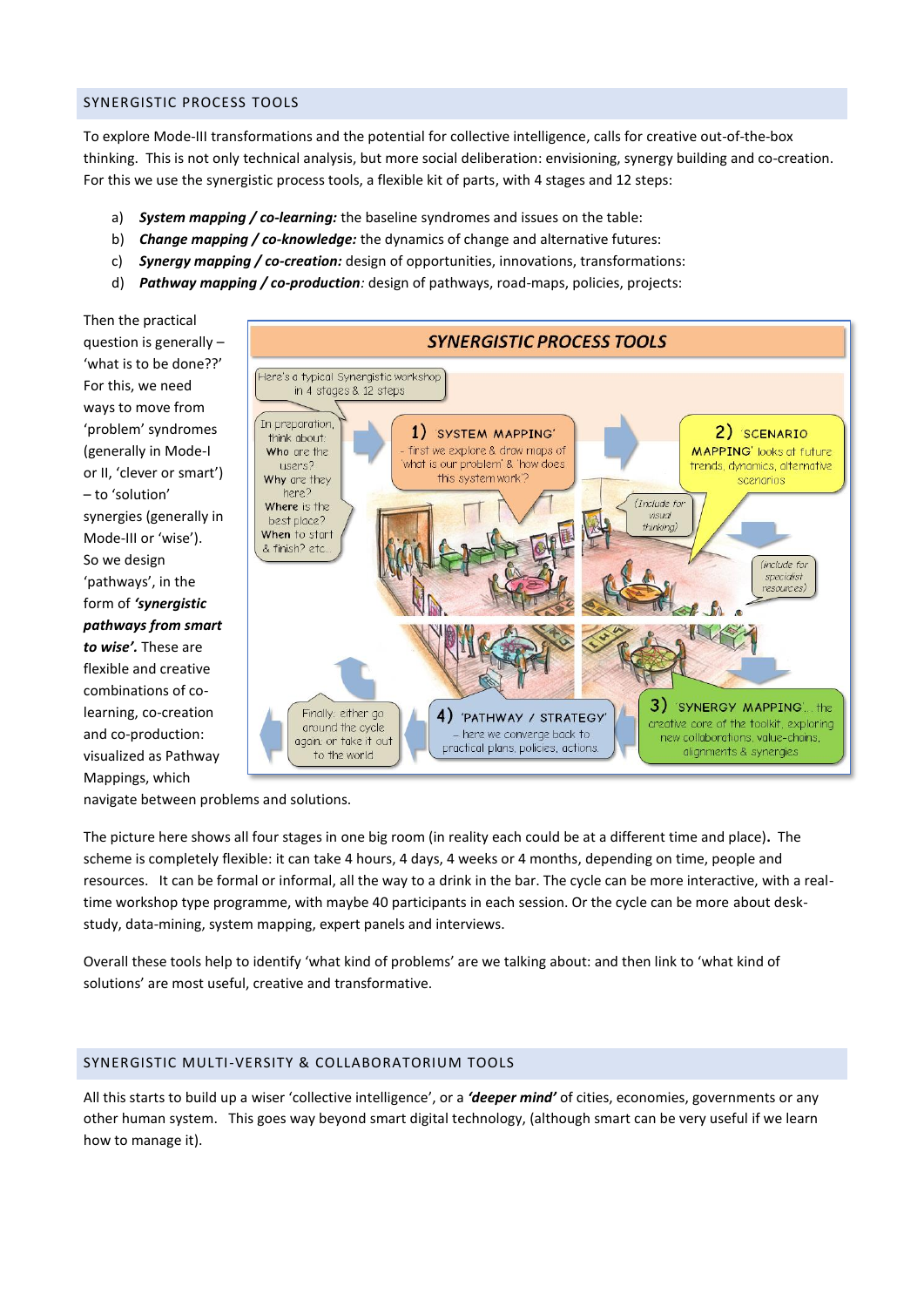#### SYNERGISTIC PROCESS TOOLS

To explore Mode-III transformations and the potential for collective intelligence, calls for creative out-of-the-box thinking. This is not only technical analysis, but more social deliberation: envisioning, synergy building and co-creation. For this we use the synergistic process tools, a flexible kit of parts, with 4 stages and 12 steps:

- a) *System mapping / co-learning:* the baseline syndromes and issues on the table:
- b) *Change mapping / co-knowledge:* the dynamics of change and alternative futures:
- c) *Synergy mapping / co-creation:* design of opportunities, innovations, transformations:
- d) *Pathway mapping / co-production:* design of pathways, road-maps, policies, projects:



navigate between problems and solutions.

The picture here shows all four stages in one big room (in reality each could be at a different time and place)**.** The scheme is completely flexible: it can take 4 hours, 4 days, 4 weeks or 4 months, depending on time, people and resources. It can be formal or informal, all the way to a drink in the bar. The cycle can be more interactive, with a realtime workshop type programme, with maybe 40 participants in each session. Or the cycle can be more about deskstudy, data-mining, system mapping, expert panels and interviews.

Overall these tools help to identify 'what kind of problems' are we talking about: and then link to 'what kind of solutions' are most useful, creative and transformative.

### SYNERGISTIC MULTI-VERSITY & COLLABORATORIUM TOOLS

All this starts to build up a wiser 'collective intelligence', or a *'deeper mind'* of cities, economies, governments or any other human system. This goes way beyond smart digital technology, (although smart can be very useful if we learn how to manage it).